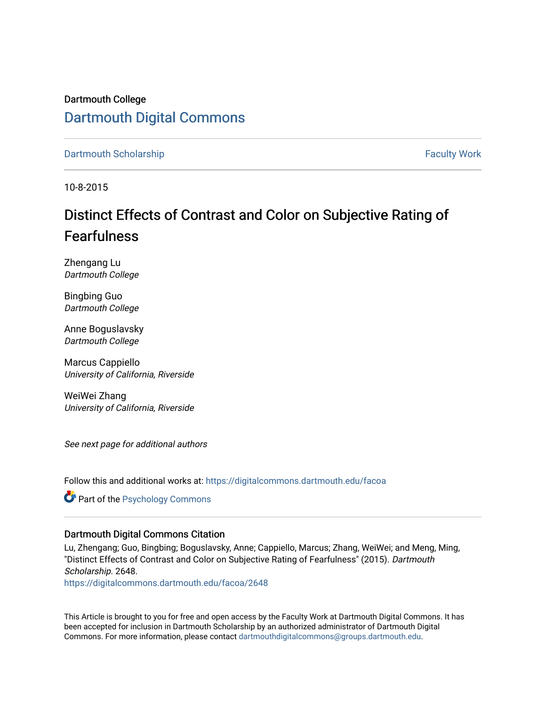# Dartmouth College [Dartmouth Digital Commons](https://digitalcommons.dartmouth.edu/)

[Dartmouth Scholarship](https://digitalcommons.dartmouth.edu/facoa) [Faculty Work](https://digitalcommons.dartmouth.edu/faculty) and The Basic Scholarship Faculty Work Faculty Work

10-8-2015

# Distinct Effects of Contrast and Color on Subjective Rating of Fearfulness

Zhengang Lu Dartmouth College

Bingbing Guo Dartmouth College

Anne Boguslavsky Dartmouth College

Marcus Cappiello University of California, Riverside

WeiWei Zhang University of California, Riverside

See next page for additional authors

Follow this and additional works at: [https://digitalcommons.dartmouth.edu/facoa](https://digitalcommons.dartmouth.edu/facoa?utm_source=digitalcommons.dartmouth.edu%2Ffacoa%2F2648&utm_medium=PDF&utm_campaign=PDFCoverPages)

Part of the [Psychology Commons](http://network.bepress.com/hgg/discipline/404?utm_source=digitalcommons.dartmouth.edu%2Ffacoa%2F2648&utm_medium=PDF&utm_campaign=PDFCoverPages) 

### Dartmouth Digital Commons Citation

Lu, Zhengang; Guo, Bingbing; Boguslavsky, Anne; Cappiello, Marcus; Zhang, WeiWei; and Meng, Ming, "Distinct Effects of Contrast and Color on Subjective Rating of Fearfulness" (2015). Dartmouth Scholarship. 2648. [https://digitalcommons.dartmouth.edu/facoa/2648](https://digitalcommons.dartmouth.edu/facoa/2648?utm_source=digitalcommons.dartmouth.edu%2Ffacoa%2F2648&utm_medium=PDF&utm_campaign=PDFCoverPages) 

This Article is brought to you for free and open access by the Faculty Work at Dartmouth Digital Commons. It has been accepted for inclusion in Dartmouth Scholarship by an authorized administrator of Dartmouth Digital Commons. For more information, please contact [dartmouthdigitalcommons@groups.dartmouth.edu](mailto:dartmouthdigitalcommons@groups.dartmouth.edu).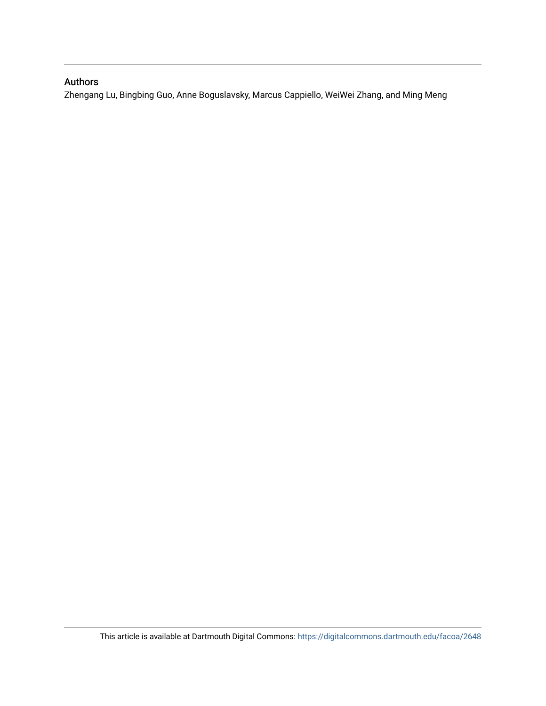# Authors

Zhengang Lu, Bingbing Guo, Anne Boguslavsky, Marcus Cappiello, WeiWei Zhang, and Ming Meng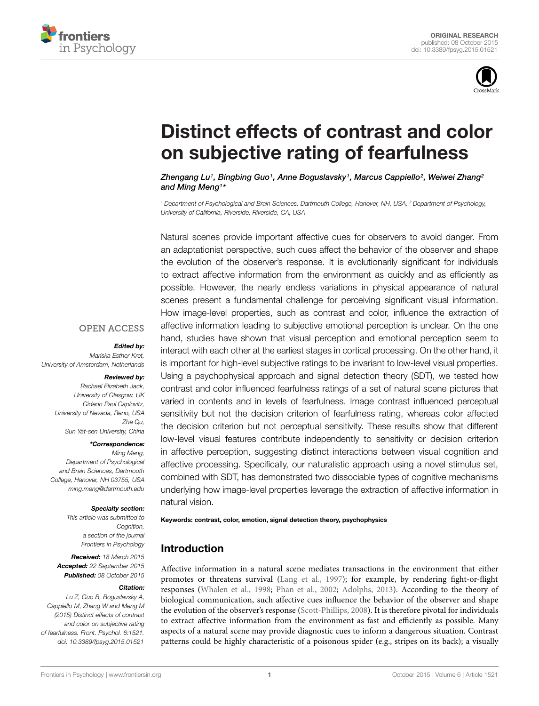



# [Distinct effects of contrast and color](http://journal.frontiersin.org/article/10.3389/fpsyg.2015.01521/abstract) on subjective rating of fearfulness

*[Zhengang Lu1](http://loop.frontiersin.org/people/213724/overview), [Bingbing Guo1](http://loop.frontiersin.org/people/279139/overview), Anne Boguslavsky1, Marcus Cappiello2, [Weiwei Zhang2](http://loop.frontiersin.org/people/137956/overview) and [Ming Meng1](http://loop.frontiersin.org/people/11478/overview)\**

*<sup>1</sup> Department of Psychological and Brain Sciences, Dartmouth College, Hanover, NH, USA, <sup>2</sup> Department of Psychology, University of California, Riverside, Riverside, CA, USA*

Natural scenes provide important affective cues for observers to avoid danger. From an adaptationist perspective, such cues affect the behavior of the observer and shape the evolution of the observer's response. It is evolutionarily significant for individuals to extract affective information from the environment as quickly and as efficiently as possible. However, the nearly endless variations in physical appearance of natural scenes present a fundamental challenge for perceiving significant visual information. How image-level properties, such as contrast and color, influence the extraction of affective information leading to subjective emotional perception is unclear. On the one hand, studies have shown that visual perception and emotional perception seem to interact with each other at the earliest stages in cortical processing. On the other hand, it is important for high-level subjective ratings to be invariant to low-level visual properties. Using a psychophysical approach and signal detection theory (SDT), we tested how contrast and color influenced fearfulness ratings of a set of natural scene pictures that varied in contents and in levels of fearfulness. Image contrast influenced perceptual sensitivity but not the decision criterion of fearfulness rating, whereas color affected the decision criterion but not perceptual sensitivity. These results show that different low-level visual features contribute independently to sensitivity or decision criterion in affective perception, suggesting distinct interactions between visual cognition and affective processing. Specifically, our naturalistic approach using a novel stimulus set, combined with SDT, has demonstrated two dissociable types of cognitive mechanisms underlying how image-level properties leverage the extraction of affective information in natural vision.

#### Keywords: contrast, color, emotion, signal detection theory, psychophysics

# Introduction

Affective information in a natural scene mediates transactions in the environment that either promotes or threatens survival [\(Lang et al.](#page-9-0), [1997](#page-9-0)); for example, by rendering fight-or-flight responses [\(Whalen et al., 1998](#page-9-1); [Phan et al., 2002](#page-9-2); [Adolphs](#page-8-0), [2013](#page-8-0)). According to the theory of biological communication, such affective cues influence the behavior of the observer and shape the evolution of the observer's response [\(Scott-Phillips, 2008](#page-9-3)). It is therefore pivotal for individuals to extract affective information from the environment as fast and efficiently as possible. Many aspects of a natural scene may provide diagnostic cues to inform a dangerous situation. Contrast patterns could be highly characteristic of a poisonous spider (e.g., stripes on its back); a visually

#### **OPEN ACCESS**

#### *Edited by:*

*Mariska Esther Kret, University of Amsterdam, Netherlands*

### *Reviewed by:*

*Rachael Elizabeth Jack, University of Glasgow, UK Gideon Paul Caplovitz, University of Nevada, Reno, USA Zhe Qu, Sun Yat-sen University, China*

*\*Correspondence:*

*Ming Meng, Department of Psychological and Brain Sciences, Dartmouth College, Hanover, NH 03755, USA ming.meng@dartmouth.edu*

#### *Specialty section:*

*This article was submitted to Cognition, a section of the journal Frontiers in Psychology*

*Received: 18 March 2015 Accepted: 22 September 2015 Published: 08 October 2015*

#### *Citation:*

*Lu Z, Guo B, Boguslavsky A, Cappiello M, Zhang W and Meng M (2015) Distinct effects of contrast and color on subjective rating of fearfulness. Front. Psychol. 6:1521. doi: [10.3389/fpsyg.2015.01521](http://dx.doi.org/10.3389/fpsyg.2015.01521)*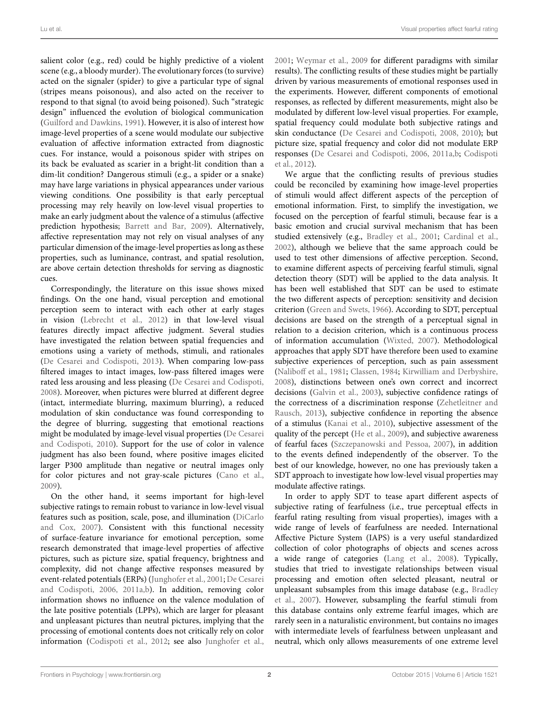salient color (e.g., red) could be highly predictive of a violent scene (e.g., a bloody murder). The evolutionary forces (to survive) acted on the signaler (spider) to give a particular type of signal (stripes means poisonous), and also acted on the receiver to respond to that signal (to avoid being poisoned). Such "strategic design" influenced the evolution of biological communication [\(Guilford and Dawkins](#page-9-4), [1991\)](#page-9-4). However, it is also of interest how image-level properties of a scene would modulate our subjective evaluation of affective information extracted from diagnostic cues. For instance, would a poisonous spider with stripes on its back be evaluated as scarier in a bright-lit condition than a dim-lit condition? Dangerous stimuli (e.g., a spider or a snake) may have large variations in physical appearances under various viewing conditions. One possibility is that early perceptual processing may rely heavily on low-level visual properties to make an early judgment about the valence of a stimulus (affective prediction hypothesis; [Barrett and Bar](#page-8-1), [2009](#page-8-1)). Alternatively, affective representation may not rely on visual analyses of any particular dimension of the image-level properties as long as these properties, such as luminance, contrast, and spatial resolution, are above certain detection thresholds for serving as diagnostic cues.

Correspondingly, the literature on this issue shows mixed findings. On the one hand, visual perception and emotional perception seem to interact with each other at early stages in vision [\(Lebrecht et al., 2012](#page-9-5)) in that low-level visual features directly impact affective judgment. Several studies have investigated the relation between spatial frequencies and emotions using a variety of methods, stimuli, and rationales [\(De Cesarei and Codispoti](#page-9-6), [2013\)](#page-9-6). When comparing low-pass filtered images to intact images, low-pass filtered images were rated less arousing and less pleasing [\(De Cesarei and Codispoti](#page-9-7), [2008](#page-9-7)). Moreover, when pictures were blurred at different degree (intact, intermediate blurring, maximum blurring), a reduced modulation of skin conductance was found corresponding to the degree of blurring, suggesting that emotional reactions might be mod[ulated](#page-9-8) [by](#page-9-8) [image-level](#page-9-8) [visual](#page-9-8) [properties](#page-9-8) [\(](#page-9-8)De Cesarei and Codispoti, [2010\)](#page-9-8). Support for the use of color in valence judgment has also been found, where positive images elicited larger P300 amplitude than negative or neutral images only for color pictures and not gray-scale pictures [\(Cano et al.](#page-8-2), [2009](#page-8-2)).

On the other hand, it seems important for high-level subjective ratings to remain robust to variance in low-level visual features [such as position, scale, pose, and illumination \(](#page-9-9)DiCarlo and Cox, [2007](#page-9-9)). Consistent with this functional necessity of surface-feature invariance for emotional perception, some research demonstrated that image-level properties of affective pictures, such as picture size, spatial frequency, brightness and complexity, did not change affective responses measured by event-related p[otentials \(ERPs\)](#page-8-3) [\(Junghofer et al., 2001](#page-9-10)[;](#page-8-3) De Cesarei and Codispoti, [2006,](#page-8-3) [2011a](#page-9-11)[,b](#page-9-12)). In addition, removing color information shows no influence on the valence modulation of the late positive potentials (LPPs), which are larger for pleasant and unpleasant pictures than neutral pictures, implying that the processing of emotional contents does not critically rely on color information [\(Codispoti et al., 2012](#page-8-4); see also [Junghofer et al.](#page-9-10),

[2001;](#page-9-10) [Weymar et al., 2009](#page-9-13) for different paradigms with similar results). The conflicting results of these studies might be partially driven by various measurements of emotional responses used in the experiments. However, different components of emotional responses, as reflected by different measurements, might also be modulated by different low-level visual properties. For example, spatial frequency could modulate both subjective ratings and skin conductance [\(De Cesarei and Codispoti](#page-9-7), [2008](#page-9-7), [2010](#page-9-8)); but picture size, spatial frequency and color did not modulate ERP resp[onses](#page-8-4) [\(De Cesarei and Codispoti](#page-8-3)[,](#page-8-4) [2006](#page-8-3)[,](#page-8-4) [2011a](#page-9-11)[,b](#page-9-12)[;](#page-8-4) Codispoti et al., [2012\)](#page-8-4).

We argue that the conflicting results of previous studies could be reconciled by examining how image-level properties of stimuli would affect different aspects of the perception of emotional information. First, to simplify the investigation, we focused on the perception of fearful stimuli, because fear is a basic emotion and crucial survival mechanism that has been studied extensively (e.g., [Bradley et al., 2001](#page-8-5); [Cardinal et al.](#page-8-6), [2002\)](#page-8-6), although we believe that the same approach could be used to test other dimensions of affective perception. Second, to examine different aspects of perceiving fearful stimuli, signal detection theory (SDT) will be applied to the data analysis. It has been well established that SDT can be used to estimate the two different aspects of perception: sensitivity and decision criterion [\(Green and Swets](#page-9-14), [1966](#page-9-14)). According to SDT, perceptual decisions are based on the strength of a perceptual signal in relation to a decision criterion, which is a continuous process of information accumulation [\(Wixted, 2007](#page-9-15)). Methodological approaches that apply SDT have therefore been used to examine subjective experiences of perception, such as pain assessment [\(Naliboff et al.](#page-9-16), [1981](#page-9-16); [Classen, 1984;](#page-8-7) [Kirwilliam and Derbyshire,](#page-9-17) [2008\)](#page-9-17), distinctions between one's own correct and incorrect decisions [\(Galvin et al., 2003\)](#page-9-18), subjective confidence ratings of the co[rrectness of a discrimination response \(](#page-10-0)Zehetleitner and Rausch, [2013\)](#page-10-0), subjective confidence in reporting the absence of a stimulus [\(Kanai et al.](#page-9-19), [2010](#page-9-19)), subjective assessment of the quality of the percept [\(He et al.](#page-9-20), [2009](#page-9-20)), and subjective awareness of fearful faces [\(Szczepanowski and Pessoa](#page-9-21), [2007](#page-9-21)), in addition to the events defined independently of the observer. To the best of our knowledge, however, no one has previously taken a SDT approach to investigate how low-level visual properties may modulate affective ratings.

In order to apply SDT to tease apart different aspects of subjective rating of fearfulness (i.e., true perceptual effects in fearful rating resulting from visual properties), images with a wide range of levels of fearfulness are needed. International Affective Picture System (IAPS) is a very useful standardized collection of color photographs of objects and scenes across a wide range of categories [\(Lang et al., 2008](#page-9-22)). Typically, studies that tried to investigate relationships between visual processing and emotion often selected pleasant, neutral or unpl[easant](#page-8-8) [subsamples](#page-8-8) [from](#page-8-8) [this](#page-8-8) [image](#page-8-8) [database](#page-8-8) [\(e.g.,](#page-8-8) Bradley et al., [2007](#page-8-8)). However, subsampling the fearful stimuli from this database contains only extreme fearful images, which are rarely seen in a naturalistic environment, but contains no images with intermediate levels of fearfulness between unpleasant and neutral, which only allows measurements of one extreme level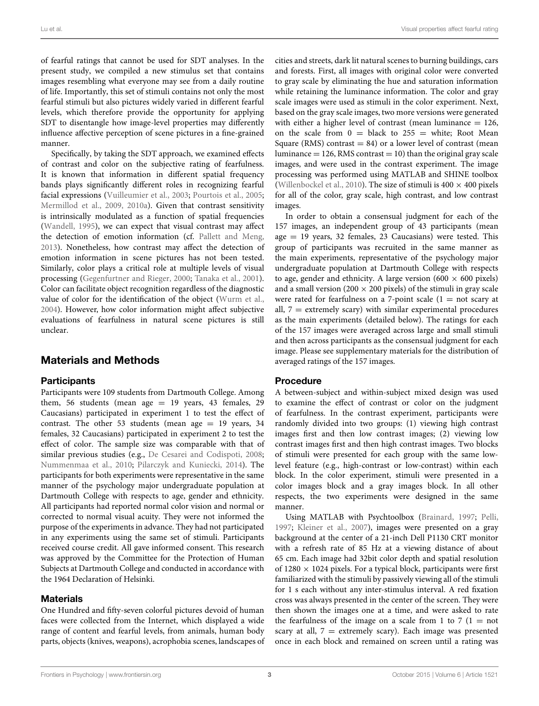of fearful ratings that cannot be used for SDT analyses. In the present study, we compiled a new stimulus set that contains images resembling what everyone may see from a daily routine of life. Importantly, this set of stimuli contains not only the most fearful stimuli but also pictures widely varied in different fearful levels, which therefore provide the opportunity for applying SDT to disentangle how image-level properties may differently influence affective perception of scene pictures in a fine-grained manner.

Specifically, by taking the SDT approach, we examined effects of contrast and color on the subjective rating of fearfulness. It is known that information in different spatial frequency bands plays significantly different roles in recognizing fearful facial expressions [\(Vuilleumier et al.](#page-9-23), [2003](#page-9-23); [Pourtois et al., 2005;](#page-9-24) [Mermillod et al., 2009](#page-9-25), [2010a\)](#page-9-26). Given that contrast sensitivity is intrinsically modulated as a function of spatial frequencies [\(Wandell, 1995\)](#page-9-27), we can expect that visual contrast may affect the detection of emotion information (cf. [Pallett and Meng,](#page-9-28) [2013](#page-9-28)). Nonetheless, how contrast may affect the detection of emotion information in scene pictures has not been tested. Similarly, color plays a critical role at multiple levels of visual processing [\(Gegenfurtner and Rieger](#page-9-29), [2000](#page-9-29); [Tanaka et al.](#page-9-30), [2001](#page-9-30)). Color can facilitate object recognition regardless of the diagnostic value of color for the identification of the object [\(Wurm et al.,](#page-9-31) [2004](#page-9-31)). However, how color information might affect subjective evaluations of fearfulness in natural scene pictures is still unclear.

# Materials and Methods

#### **Participants**

Participants were 109 students from Dartmouth College. Among them, 56 students (mean age  $= 19$  years, 43 females, 29 Caucasians) participated in experiment 1 to test the effect of contrast. The other 53 students (mean age  $= 19$  years, 34 females, 32 Caucasians) participated in experiment 2 to test the effect of color. The sample size was comparable with that of similar previous studies (e.g., [De Cesarei and Codispoti, 2008;](#page-9-7) [Nummenmaa et al., 2010;](#page-9-32) [Pilarczyk and Kuniecki](#page-9-33), [2014\)](#page-9-33). The participants for both experiments were representative in the same manner of the psychology major undergraduate population at Dartmouth College with respects to age, gender and ethnicity. All participants had reported normal color vision and normal or corrected to normal visual acuity. They were not informed the purpose of the experiments in advance. They had not participated in any experiments using the same set of stimuli. Participants received course credit. All gave informed consent. This research was approved by the Committee for the Protection of Human Subjects at Dartmouth College and conducted in accordance with the 1964 Declaration of Helsinki.

#### **Materials**

One Hundred and fifty-seven colorful pictures devoid of human faces were collected from the Internet, which displayed a wide range of content and fearful levels, from animals, human body parts, objects (knives, weapons), acrophobia scenes, landscapes of cities and streets, dark lit natural scenes to burning buildings, cars and forests. First, all images with original color were converted to gray scale by eliminating the hue and saturation information while retaining the luminance information. The color and gray scale images were used as stimuli in the color experiment. Next, based on the gray scale images, two more versions were generated with either a higher level of contrast (mean luminance  $= 126$ , on the scale from  $0 =$  black to 255 = white; Root Mean Square (RMS) contrast  $= 84$ ) or a lower level of contrast (mean luminance  $= 126$ , RMS contrast  $= 10$ ) than the original gray scale images, and were used in the contrast experiment. The image processing was performed using MATLAB and SHINE toolbox [\(Willenbockel et al.](#page-9-34), [2010\)](#page-9-34). The size of stimuli is  $400 \times 400$  pixels for all of the color, gray scale, high contrast, and low contrast images.

In order to obtain a consensual judgment for each of the 157 images, an independent group of 43 participants (mean age  $= 19$  years, 32 females, 23 Caucasians) were tested. This group of participants was recruited in the same manner as the main experiments, representative of the psychology major undergraduate population at Dartmouth College with respects to age, gender and ethnicity. A large version (600  $\times$  600 pixels) and a small version (200  $\times$  200 pixels) of the stimuli in gray scale were rated for fearfulness on a 7-point scale (1 = not scary at all,  $7 =$  extremely scary) with similar experimental procedures as the main experiments (detailed below). The ratings for each of the 157 images were averaged across large and small stimuli and then across participants as the consensual judgment for each image. Please see supplementary materials for the distribution of averaged ratings of the 157 images.

#### Procedure

A between-subject and within-subject mixed design was used to examine the effect of contrast or color on the judgment of fearfulness. In the contrast experiment, participants were randomly divided into two groups: (1) viewing high contrast images first and then low contrast images; (2) viewing low contrast images first and then high contrast images. Two blocks of stimuli were presented for each group with the same lowlevel feature (e.g., high-contrast or low-contrast) within each block. In the color experiment, stimuli were presented in a color images block and a gray images block. In all other respects, the two experiments were designed in the same manner.

Using MATLAB with Psychtoolbox [\(Brainard](#page-8-9), [1997;](#page-8-9) [Pelli,](#page-9-35) [1997](#page-9-35); [Kleiner et al.](#page-9-36), [2007](#page-9-36)), images were presented on a gray background at the center of a 21-inch Dell P1130 CRT monitor with a refresh rate of 85 Hz at a viewing distance of about 65 cm. Each image had 32bit color depth and spatial resolution of  $1280 \times 1024$  pixels. For a typical block, participants were first familiarized with the stimuli by passively viewing all of the stimuli for 1 s each without any inter-stimulus interval. A red fixation cross was always presented in the center of the screen. They were then shown the images one at a time, and were asked to rate the fearfulness of the image on a scale from 1 to 7 ( $1 = not$ ) scary at all,  $7 =$  extremely scary). Each image was presented once in each block and remained on screen until a rating was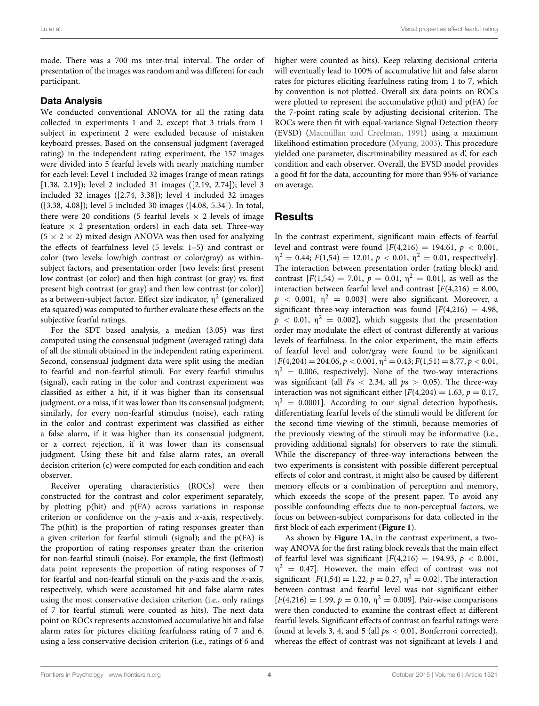made. There was a 700 ms inter-trial interval. The order of presentation of the images was random and was different for each participant.

#### Data Analysis

We conducted conventional ANOVA for all the rating data collected in experiments 1 and 2, except that 3 trials from 1 subject in experiment 2 were excluded because of mistaken keyboard presses. Based on the consensual judgment (averaged rating) in the independent rating experiment, the 157 images were divided into 5 fearful levels with nearly matching number for each level: Level 1 included 32 images (range of mean ratings [1.38, 2.19]); level 2 included 31 images ([2.19, 2.74]); level 3 included 32 images ([2.74, 3.38]); level 4 included 32 images ([3.38, 4.08]); level 5 included 30 images ([4.08, 5.34]). In total, there were 20 conditions (5 fearful levels  $\times$  2 levels of image feature  $\times$  2 presentation orders) in each data set. Three-way  $(5 \times 2 \times 2)$  mixed design ANOVA was then used for analyzing the effects of fearfulness level (5 levels: 1–5) and contrast or color (two levels: low/high contrast or color/gray) as withinsubject factors, and presentation order [two levels: first present low contrast (or color) and then high contrast (or gray) vs. first present high contrast (or gray) and then low contrast (or color)] as a between-subject factor. Effect size indicator,  $\eta^2$  (generalized eta squared) was computed to further evaluate these effects on the subjective fearful ratings.

For the SDT based analysis, a median (3.05) was first computed using the consensual judgment (averaged rating) data of all the stimuli obtained in the independent rating experiment. Second, consensual judgment data were split using the median to fearful and non-fearful stimuli. For every fearful stimulus (signal), each rating in the color and contrast experiment was classified as either a hit, if it was higher than its consensual judgment, or a miss, if it was lower than its consensual judgment; similarly, for every non-fearful stimulus (noise), each rating in the color and contrast experiment was classified as either a false alarm, if it was higher than its consensual judgment, or a correct rejection, if it was lower than its consensual judgment. Using these hit and false alarm rates, an overall decision criterion (c) were computed for each condition and each observer.

Receiver operating characteristics (ROCs) were then constructed for the contrast and color experiment separately, by plotting p(hit) and p(FA) across variations in response criterion or confidence on the *y*-axis and *x*-axis, respectively. The p(hit) is the proportion of rating responses greater than a given criterion for fearful stimuli (signal); and the p(FA) is the proportion of rating responses greater than the criterion for non-fearful stimuli (noise). For example, the first (leftmost) data point represents the proportion of rating responses of 7 for fearful and non-fearful stimuli on the *y*-axis and the *x*-axis, respectively, which were accustomed hit and false alarm rates using the most conservative decision criterion (i.e., only ratings of 7 for fearful stimuli were counted as hits). The next data point on ROCs represents accustomed accumulative hit and false alarm rates for pictures eliciting fearfulness rating of 7 and 6, using a less conservative decision criterion (i.e., ratings of 6 and

higher were counted as hits). Keep relaxing decisional criteria will eventually lead to 100% of accumulative hit and false alarm rates for pictures eliciting fearfulness rating from 1 to 7, which by convention is not plotted. Overall six data points on ROCs were plotted to represent the accumulative  $p(hit)$  and  $p(FA)$  for the 7-point rating scale by adjusting decisional criterion. The ROCs were then fit with equal-variance Signal Detection theory (EVSD) [\(Macmillan and Creelman](#page-9-37), [1991](#page-9-37)) using a maximum likelihood estimation procedure [\(Myung](#page-9-38), [2003](#page-9-38)). This procedure yielded one parameter, discriminability measured as d', for each condition and each observer. Overall, the EVSD model provides a good fit for the data, accounting for more than 95% of variance on average.

# Results

In the contrast experiment, significant main effects of fearful level and contrast were found  $[F(4,216) = 194.61, p < 0.001,$  $\eta^2 = 0.44$ ;  $F(1,54) = 12.01$ ,  $p < 0.01$ ,  $\eta^2 = 0.01$ , respectively. The interaction between presentation order (rating block) and contrast  $[F(1,54) = 7.01, p = 0.01, \eta^2 = 0.01]$ , as well as the interaction between fearful level and contrast  $[F(4,216) = 8.00,$  $p \sim 0.001$ ,  $\eta^2 = 0.003$ ] were also significant. Moreover, a significant three-way interaction was found  $[F(4,216) = 4.98,$  $p \approx 0.01$ ,  $\eta^2 = 0.002$ , which suggests that the presentation order may modulate the effect of contrast differently at various levels of fearfulness. In the color experiment, the main effects of fearful level and color/gray were found to be significant  $[F(4,204) = 204.06, p < 0.001, \eta^2 = 0.43; F(1,51) = 8.77, p < 0.01,$  $\eta^2$  = 0.006, respectively]. None of the two-way interactions was significant (all *F*s *<* 2.34, all *p*s *>* 0.05). The three-way interaction was not significant either  $[F(4,204) = 1.63, p = 0.17,$  $\eta^2$  = 0.0001]. According to our signal detection hypothesis, differentiating fearful levels of the stimuli would be different for the second time viewing of the stimuli, because memories of the previously viewing of the stimuli may be informative (i.e., providing additional signals) for observers to rate the stimuli. While the discrepancy of three-way interactions between the two experiments is consistent with possible different perceptual effects of color and contrast, it might also be caused by different memory effects or a combination of perception and memory, which exceeds the scope of the present paper. To avoid any possible confounding effects due to non-perceptual factors, we focus on between-subject comparisons for data collected in the first block of each experiment (**[Figure 1](#page-6-0)**).

As shown by **[Figure 1A](#page-6-0)**, in the contrast experiment, a twoway ANOVA for the first rating block reveals that the main effect of fearful level was significant [*F*(4,216) = 194.93, *p <* 0.001,  $\eta^2$  = 0.47]. However, the main effect of contrast was not significant  $[F(1,54) = 1.22, p = 0.27, \eta^2 = 0.02]$ . The interaction between contrast and fearful level was not significant either  $[F(4,216) = 1.99, p = 0.10, \eta^2 = 0.009]$ . Pair-wise comparisons were then conducted to examine the contrast effect at different fearful levels. Significant effects of contrast on fearful ratings were found at levels 3, 4, and 5 (all *p*s *<* 0.01, Bonferroni corrected), whereas the effect of contrast was not significant at levels 1 and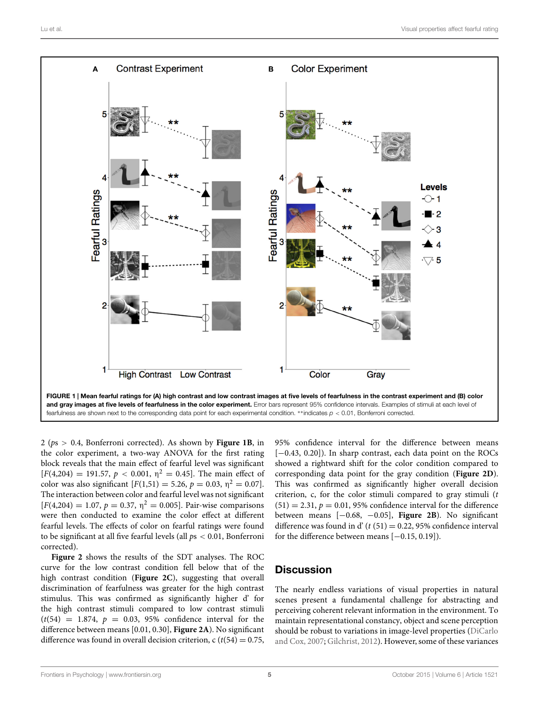

<span id="page-6-0"></span>2 (*p*<sup>s</sup> *<sup>&</sup>gt;* 0.4, Bonferroni corrected). As shown by **[Figure 1B](#page-6-0)**, in the color experiment, a two-way ANOVA for the first rating block reveals that the main effect of fearful level was significant  $[F(4,204) = 191.57, p < 0.001, \eta^2 = 0.45]$ . The main effect of color was also significant  $[F(1,51) = 5.26, p = 0.03, \eta^2 = 0.07]$ . The interaction between color and fearful level was not significant  $[F(4,204) = 1.07, p = 0.37, \eta^2 = 0.005]$ . Pair-wise comparisons were then conducted to examine the color effect at different fearful levels. The effects of color on fearful ratings were found to be significant at all five fearful levels (all *p*s *<* 0.01, Bonferroni corrected).

**[Figure 2](#page-7-0)** shows the results of the SDT analyses. The ROC curve for the low contrast condition fell below that of the high contrast condition (**[Figure 2C](#page-7-0)**), suggesting that overall discrimination of fearfulness was greater for the high contrast stimulus. This was confirmed as significantly higher d' for the high contrast stimuli compared to low contrast stimuli  $(t(54) = 1.874, p = 0.03, 95%$  confidence interval for the difference between means [0.01, 0.30], **[Figure 2A](#page-7-0)**). No significant difference was found in overall decision criterion,  $c (t(54) = 0.75$ , 95% confidence interval for the difference between means [-0.43, 0.20]). In sharp contrast, each data point on the ROCs showed a rightward shift for the color condition compared to corresponding data point for the gray condition (**[Figure 2D](#page-7-0)**). This was confirmed as significantly higher overall decision criterion, c, for the color stimuli compared to gray stimuli (*t*  $(51) = 2.31, p = 0.01, 95\%$  confidence interval for the difference between means [−0.68, <sup>−</sup>0.05], **[Figure 2B](#page-7-0)**). No significant difference was found in d'  $(t (51) = 0.22, 95\%$  confidence interval for the difference between means  $[-0.15, 0.19]$ .

# **Discussion**

The nearly endless variations of visual properties in natural scenes present a fundamental challenge for abstracting and perceiving coherent relevant information in the environment. To maintain representational constancy, object and scene perception should [be robust to variations in image-level properties \(](#page-9-9)DiCarlo and Cox, [2007;](#page-9-9) [Gilchrist, 2012](#page-9-39)). However, some of these variances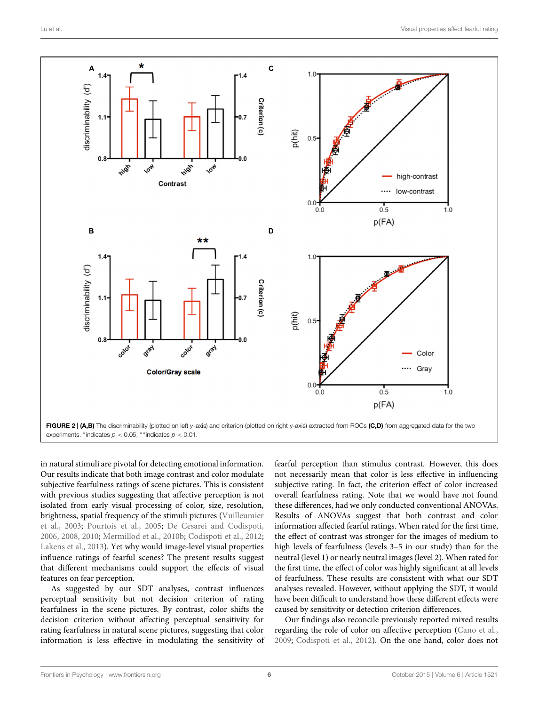

<span id="page-7-0"></span>in natural stimuli are pivotal for detecting emotional information. Our results indicate that both image contrast and color modulate subjective fearfulness ratings of scene pictures. This is consistent with previous studies suggesting that affective perception is not isolated from early visual processing of color, size, resolution, brig[htness, spatial frequency of the stimuli pictures \(](#page-9-23)Vuilleumier et al., [2003;](#page-9-23) [Pourtois et al.](#page-9-24), [2005](#page-9-24); [De Cesarei and Codispoti](#page-8-3), [2006](#page-8-3), [2008](#page-9-7), [2010;](#page-9-8) [Mermillod et al., 2010b](#page-9-40); [Codispoti et al.](#page-8-4), [2012](#page-8-4); [Lakens et al.](#page-9-41), [2013\)](#page-9-41). Yet why would image-level visual properties influence ratings of fearful scenes? The present results suggest that different mechanisms could support the effects of visual features on fear perception.

As suggested by our SDT analyses, contrast influences perceptual sensitivity but not decision criterion of rating fearfulness in the scene pictures. By contrast, color shifts the decision criterion without affecting perceptual sensitivity for rating fearfulness in natural scene pictures, suggesting that color information is less effective in modulating the sensitivity of

fearful perception than stimulus contrast. However, this does not necessarily mean that color is less effective in influencing subjective rating. In fact, the criterion effect of color increased overall fearfulness rating. Note that we would have not found these differences, had we only conducted conventional ANOVAs. Results of ANOVAs suggest that both contrast and color information affected fearful ratings. When rated for the first time, the effect of contrast was stronger for the images of medium to high levels of fearfulness (levels 3–5 in our study) than for the neutral (level 1) or nearly neutral images (level 2). When rated for the first time, the effect of color was highly significant at all levels of fearfulness. These results are consistent with what our SDT analyses revealed. However, without applying the SDT, it would have been difficult to understand how these different effects were caused by sensitivity or detection criterion differences.

Our findings also reconcile previously reported mixed results regarding the role of color on affective perception [\(Cano et al.](#page-8-2), [2009;](#page-8-2) [Codispoti et al.](#page-8-4), [2012](#page-8-4)). On the one hand, color does not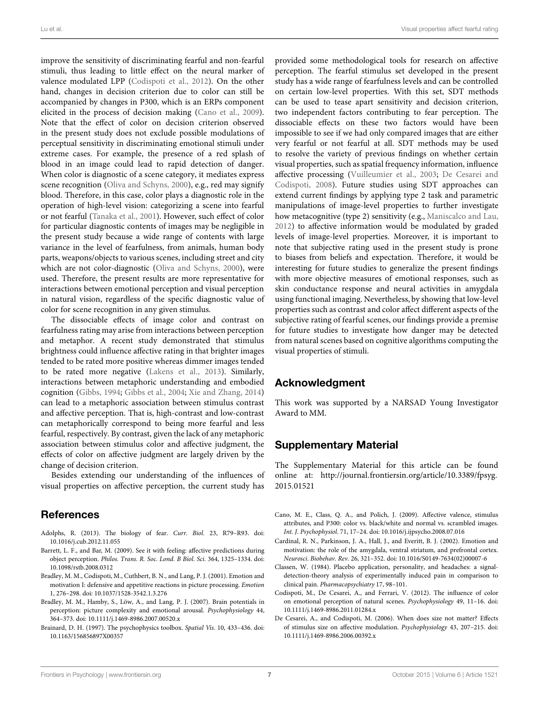improve the sensitivity of discriminating fearful and non-fearful stimuli, thus leading to little effect on the neural marker of valence modulated LPP [\(Codispoti et al.](#page-8-4), [2012](#page-8-4)). On the other hand, changes in decision criterion due to color can still be accompanied by changes in P300, which is an ERPs component elicited in the process of decision making [\(Cano et al.](#page-8-2), [2009](#page-8-2)). Note that the effect of color on decision criterion observed in the present study does not exclude possible modulations of perceptual sensitivity in discriminating emotional stimuli under extreme cases. For example, the presence of a red splash of blood in an image could lead to rapid detection of danger. When color is diagnostic of a scene category, it mediates express scene recognition [\(Oliva and Schyns, 2000\)](#page-9-42), e.g., red may signify blood. Therefore, in this case, color plays a diagnostic role in the operation of high-level vision: categorizing a scene into fearful or not fearful [\(Tanaka et al., 2001\)](#page-9-30). However, such effect of color for particular diagnostic contents of images may be negligible in the present study because a wide range of contents with large variance in the level of fearfulness, from animals, human body parts, weapons/objects to various scenes, including street and city which are not color-diagnostic [\(Oliva and Schyns, 2000\)](#page-9-42), were used. Therefore, the present results are more representative for interactions between emotional perception and visual perception in natural vision, regardless of the specific diagnostic value of color for scene recognition in any given stimulus.

The dissociable effects of image color and contrast on fearfulness rating may arise from interactions between perception and metaphor. A recent study demonstrated that stimulus brightness could influence affective rating in that brighter images tended to be rated more positive whereas dimmer images tended to be rated more negative [\(Lakens et al.](#page-9-41), [2013](#page-9-41)). Similarly, interactions between metaphoric understanding and embodied cognition [\(Gibbs, 1994;](#page-9-43) [Gibbs et al., 2004](#page-9-44); [Xie and Zhang, 2014\)](#page-9-45) can lead to a metaphoric association between stimulus contrast and affective perception. That is, high-contrast and low-contrast can metaphorically correspond to being more fearful and less fearful, respectively. By contrast, given the lack of any metaphoric association between stimulus color and affective judgment, the effects of color on affective judgment are largely driven by the change of decision criterion.

Besides extending our understanding of the influences of visual properties on affective perception, the current study has

# References

- <span id="page-8-0"></span>Adolphs, R. (2013). The biology of fear. *Curr. Biol.* 23, R79–R93. doi: 10.1016/j.cub.2012.11.055
- <span id="page-8-1"></span>Barrett, L. F., and Bar, M. (2009). See it with feeling: affective predictions during object perception. *Philos. Trans. R. Soc. Lond. B Biol. Sci.* 364, 1325–1334. doi: 10.1098/rstb.2008.0312
- <span id="page-8-5"></span>Bradley, M. M., Codispoti, M., Cuthbert, B. N., and Lang, P. J. (2001). Emotion and motivation I: defensive and appetitive reactions in picture processing. *Emotion* 1, 276–298. doi: 10.1037/1528-3542.1.3.276
- <span id="page-8-8"></span>Bradley, M. M., Hamby, S., Löw, A., and Lang, P. J. (2007). Brain potentials in perception: picture complexity and emotional arousal. *Psychophysiology* 44, 364–373. doi: 10.1111/j.1469-8986.2007.00520.x
- <span id="page-8-9"></span>Brainard, D. H. (1997). The psychophysics toolbox. *Spatial Vis.* 10, 433–436. doi: 10.1163/156856897X00357

provided some methodological tools for research on affective perception. The fearful stimulus set developed in the present study has a wide range of fearfulness levels and can be controlled on certain low-level properties. With this set, SDT methods can be used to tease apart sensitivity and decision criterion, two independent factors contributing to fear perception. The dissociable effects on these two factors would have been impossible to see if we had only compared images that are either very fearful or not fearful at all. SDT methods may be used to resolve the variety of previous findings on whether certain visual properties, such as spatial frequency information, influence affective [processing](#page-9-7) [\(Vuilleumier et al., 2003](#page-9-23)[;](#page-9-7) De Cesarei and Codispoti, [2008\)](#page-9-7). Future studies using SDT approaches can extend current findings by applying type 2 task and parametric manipulations of image-level properties to further investigate how metacognitive (type 2) sensitivity (e.g., [Maniscalco and Lau,](#page-9-46) [2012](#page-9-46)) to affective information would be modulated by graded levels of image-level properties. Moreover, it is important to note that subjective rating used in the present study is prone to biases from beliefs and expectation. Therefore, it would be interesting for future studies to generalize the present findings with more objective measures of emotional responses, such as skin conductance response and neural activities in amygdala using functional imaging. Nevertheless, by showing that low-level properties such as contrast and color affect different aspects of the subjective rating of fearful scenes, our findings provide a premise for future studies to investigate how danger may be detected from natural scenes based on cognitive algorithms computing the visual properties of stimuli.

# Acknowledgment

This work was supported by a NARSAD Young Investigator Award to MM.

# Supplementary Material

The Supplementary Material for this article can be found online at: [http://journal](http://journal.frontiersin.org/article/10.3389/fpsyg.2015.01521)*.*frontiersin*.*org/article/10*.*3389/fpsyg*.* 2015*.*[01521](http://journal.frontiersin.org/article/10.3389/fpsyg.2015.01521)

- <span id="page-8-2"></span>Cano, M. E., Class, Q. A., and Polich, J. (2009). Affective valence, stimulus attributes, and P300: color vs. black/white and normal vs. scrambled images. *Int. J. Psychophysiol.* 71, 17–24. doi: 10.1016/j.ijpsycho.2008.07.016
- <span id="page-8-6"></span>Cardinal, R. N., Parkinson, J. A., Hall, J., and Everitt, B. J. (2002). Emotion and motivation: the role of the amygdala, ventral striatum, and prefrontal cortex. *Neurosci. Biobehav. Rev.* 26, 321–352. doi: 10.1016/S0149-7634(02)00007-6
- <span id="page-8-7"></span>Classen, W. (1984). Placebo application, personality, and headaches: a signaldetection-theory analysis of experimentally induced pain in comparison to clinical pain. *Pharmacopsychiatry* 17, 98–101.
- <span id="page-8-4"></span>Codispoti, M., De Cesarei, A., and Ferrari, V. (2012). The influence of color on emotional perception of natural scenes. *Psychophysiology* 49, 11–16. doi: 10.1111/j.1469-8986.2011.01284.x
- <span id="page-8-3"></span>De Cesarei, A., and Codispoti, M. (2006). When does size not matter? Effects of stimulus size on affective modulation. *Psychophysiology* 43, 207–215. doi: 10.1111/j.1469-8986.2006.00392.x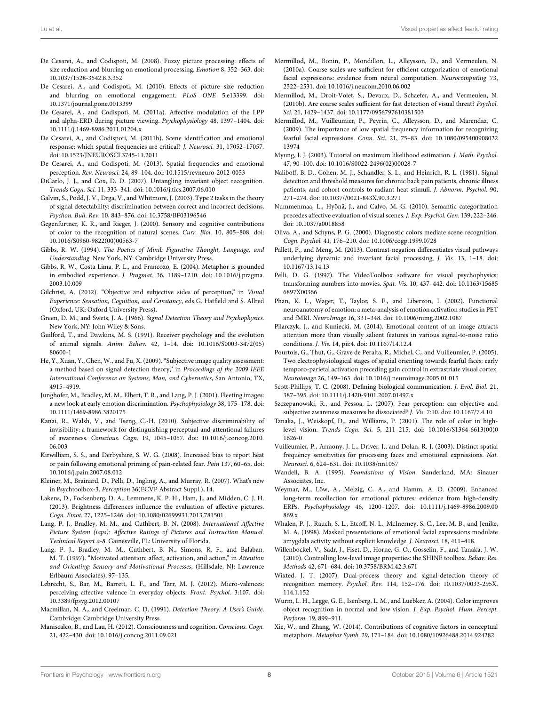- <span id="page-9-7"></span>De Cesarei, A., and Codispoti, M. (2008). Fuzzy picture processing: effects of size reduction and blurring on emotional processing. *Emotion* 8, 352–363. doi: 10.1037/1528-3542.8.3.352
- <span id="page-9-8"></span>De Cesarei, A., and Codispoti, M. (2010). Effects of picture size reduction and blurring on emotional engagement. *PLoS ONE* 5:e13399. doi: 10.1371/journal.pone.0013399
- <span id="page-9-11"></span>De Cesarei, A., and Codispoti, M. (2011a). Affective modulation of the LPP and alpha-ERD during picture viewing. *Psychophysiology* 48, 1397–1404. doi: 10.1111/j.1469-8986.2011.01204.x
- <span id="page-9-12"></span>De Cesarei, A., and Codispoti, M. (2011b). Scene identification and emotional response: which spatial frequencies are critical? *J. Neurosci.* 31, 17052–17057. doi: 10.1523/JNEUROSCI.3745-11.2011
- <span id="page-9-6"></span>De Cesarei, A., and Codispoti, M. (2013). Spatial frequencies and emotional perception. *Rev. Neurosci.* 24, 89–104. doi: 10.1515/revneuro-2012-0053
- <span id="page-9-9"></span>DiCarlo, J. J., and Cox, D. D. (2007). Untangling invariant object recognition. *Trends Cogn. Sci.* 11, 333–341. doi: 10.1016/j.tics.2007.06.010
- <span id="page-9-18"></span>Galvin, S., Podd, J. V., Drga, V., and Whitmore, J. (2003). Type 2 tasks in the theory of signal detectability: discrimination between correct and incorrect decisions. *Psychon. Bull. Rev.* 10, 843–876. doi: 10.3758/BF03196546
- <span id="page-9-29"></span>Gegenfurtner, K. R., and Rieger, J. (2000). Sensory and cognitive contributions of color to the recognition of natural scenes. *Curr. Biol.* 10, 805–808. doi: 10.1016/S0960-9822(00)00563-7
- <span id="page-9-43"></span>Gibbs, R. W. (1994). *The Poetics of Mind: Figurative Thought, Language, and Understanding*. New York, NY: Cambridge University Press.
- <span id="page-9-44"></span>Gibbs, R. W., Costa Lima, P. L., and Francozo, E. (2004). Metaphor is grounded in embodied experience. *J. Pragmat.* 36, 1189–1210. doi: 10.1016/j.pragma. 2003.10.009
- <span id="page-9-39"></span>Gilchrist, A. (2012). "Objective and subjective sides of perception," in *Visual Experience: Sensation, Cognition, and Constancy*, eds G. Hatfield and S. Allred (Oxford, UK: Oxford University Press).
- <span id="page-9-14"></span>Green, D. M., and Swets, J. A. (1966). *Signal Detection Theory and Psychophysics*. New York, NY: John Wiley & Sons.
- <span id="page-9-4"></span>Guilford, T., and Dawkins, M. S. (1991). Receiver psychology and the evolution of animal signals. *Anim. Behav.* 42, 1–14. doi: 10.1016/S0003-3472(05) 80600-1
- <span id="page-9-20"></span>He, Y., Xuan, Y., Chen, W., and Fu, X. (2009). "Subjective image quality assessment: a method based on signal detection theory," in *Proceedings of the 2009 IEEE International Conference on Systems, Man, and Cybernetics*, San Antonio, TX, 4915–4919.
- <span id="page-9-10"></span>Junghofer, M., Bradley, M. M., Elbert, T. R., and Lang, P. J. (2001). Fleeting images: a new look at early emotion discrimination. *Psychophysiology* 38, 175–178. doi: 10.1111/1469-8986.3820175
- <span id="page-9-19"></span>Kanai, R., Walsh, V., and Tseng, C.-H. (2010). Subjective discriminability of invisibility: a framework for distinguishing perceptual and attentional failures of awareness. *Conscious. Cogn.* 19, 1045–1057. doi: 10.1016/j.concog.2010. 06.003
- <span id="page-9-17"></span>Kirwilliam, S. S., and Derbyshire, S. W. G. (2008). Increased bias to report heat or pain following emotional priming of pain-related fear. *Pain* 137, 60–65. doi: 10.1016/j.pain.2007.08.012
- <span id="page-9-36"></span>Kleiner, M., Brainard, D., Pelli, D., Ingling, A., and Murray, R. (2007). What's new in Psychtoolbox-3. *Perception* 36(ECVP Abstract Suppl.), 14.
- <span id="page-9-41"></span>Lakens, D., Fockenberg, D. A., Lemmens, K. P. H., Ham, J., and Midden, C. J. H. (2013). Brightness differences influence the evaluation of affective pictures. *Cogn. Emot.* 27, 1225–1246. doi: 10.1080/02699931.2013.781501
- <span id="page-9-22"></span>Lang, P. J., Bradley, M. M., and Cuthbert, B. N. (2008). *International Affective Picture System (iaps): Affective Ratings of Pictures and Instruction Manual. Technical Report a-8*. Gainesville, FL: University of Florida.
- <span id="page-9-0"></span>Lang, P. J., Bradley, M. M., Cuthbert, B. N., Simons, R. F., and Balaban, M. T. (1997). "Motivated attention: affect, activation, and action," in *Attention and Orienting: Sensory and Motivational Processes*, (Hillsdale, NJ: Lawrence Erlbaum Associates), 97–135.
- <span id="page-9-5"></span>Lebrecht, S., Bar, M., Barrett, L. F., and Tarr, M. J. (2012). Micro-valences: perceiving affective valence in everyday objects. *Front. Psychol.* 3:107. doi: 10.3389/fpsyg.2012.00107
- <span id="page-9-37"></span>Macmillan, N. A., and Creelman, C. D. (1991). *Detection Theory: A User's Guide*. Cambridge: Cambridge University Press.
- <span id="page-9-46"></span>Maniscalco, B., and Lau, H. (2012). Consciousness and cognition. *Conscious. Cogn.* 21, 422–430. doi: 10.1016/j.concog.2011.09.021
- <span id="page-9-26"></span>Mermillod, M., Bonin, P., Mondillon, L., Alleysson, D., and Vermeulen, N. (2010a). Coarse scales are sufficient for efficient categorization of emotional facial expressions: evidence from neural computation. *Neurocomputing* 73, 2522–2531. doi: 10.1016/j.neucom.2010.06.002
- <span id="page-9-40"></span>Mermillod, M., Droit-Volet, S., Devaux, D., Schaefer, A., and Vermeulen, N. (2010b). Are coarse scales sufficient for fast detection of visual threat? *Psychol. Sci.* 21, 1429–1437. doi: 10.1177/0956797610381503
- <span id="page-9-25"></span>Mermillod, M., Vuilleumier, P., Peyrin, C., Alleysson, D., and Marendaz, C. (2009). The importance of low spatial frequency information for recognizing fearful facial expressions. *Conn. Sci.* 21, 75–83. doi: 10.1080/095400908022 13974
- <span id="page-9-38"></span>Myung, I. J. (2003). Tutorial on maximum likelihood estimation. *J. Math. Psychol.* 47, 90–100. doi: 10.1016/S0022-2496(02)00028-7
- <span id="page-9-16"></span>Naliboff, B. D., Cohen, M. J., Schandler, S. L., and Heinrich, R. L. (1981). Signal detection and threshold measures for chronic back pain patients, chronic illness patients, and cohort controls to radiant heat stimuli. *J. Abnorm. Psychol.* 90, 271–274. doi: 10.1037//0021-843X.90.3.271
- <span id="page-9-32"></span>Nummenmaa, L., Hyönä, J., and Calvo, M. G. (2010). Semantic categorization precedes affective evaluation of visual scenes. *J. Exp. Psychol. Gen.* 139, 222–246. doi: 10.1037/a0018858
- <span id="page-9-42"></span>Oliva, A., and Schyns, P. G. (2000). Diagnostic colors mediate scene recognition. *Cogn. Psychol.* 41, 176–210. doi: 10.1006/cogp.1999.0728
- <span id="page-9-28"></span>Pallett, P., and Meng, M. (2013). Contrast-negation differentiates visual pathways underlying dynamic and invariant facial processing. *J. Vis.* 13, 1–18. doi: 10.1167/13.14.13
- <span id="page-9-35"></span>Pelli, D. G. (1997). The VideoToolbox software for visual psychophysics: transforming numbers into movies. *Spat. Vis.* 10, 437–442. doi: 10.1163/15685 6897X00366
- <span id="page-9-2"></span>Phan, K. L., Wager, T., Taylor, S. F., and Liberzon, I. (2002). Functional neuroanatomy of emotion: a meta-analysis of emotion activation studies in PET and fMRI. *NeuroImage* 16, 331–348. doi: 10.1006/nimg.2002.1087
- <span id="page-9-33"></span>Pilarczyk, J., and Kuniecki, M. (2014). Emotional content of an image attracts attention more than visually salient features in various signal-to-noise ratio conditions. *J. Vis.* 14, pii:4. doi: 10.1167/14.12.4
- <span id="page-9-24"></span>Pourtois, G., Thut, G., Grave de Peralta, R., Michel, C., and Vuilleumier, P. (2005). Two electrophysiological stages of spatial orienting towards fearful faces: early temporo-parietal activation preceding gain control in extrastriate visual cortex. *Neuroimage* 26, 149–163. doi: 10.1016/j.neuroimage.2005.01.015
- <span id="page-9-3"></span>Scott-Phillips, T. C. (2008). Defining biological communication. *J. Evol. Biol.* 21, 387–395. doi: 10.1111/j.1420-9101.2007.01497.x
- <span id="page-9-21"></span>Szczepanowski, R., and Pessoa, L. (2007). Fear perception: can objective and subjective awareness measures be dissociated? *J. Vis.* 7:10. doi: 10.1167/7.4.10
- <span id="page-9-30"></span>Tanaka, J., Weiskopf, D., and Williams, P. (2001). The role of color in highlevel vision. *Trends Cogn. Sci.* 5, 211–215. doi: 10.1016/S1364-6613(00)0 1626-0
- <span id="page-9-23"></span>Vuilleumier, P., Armony, J. L., Driver, J., and Dolan, R. J. (2003). Distinct spatial frequency sensitivities for processing faces and emotional expressions. *Nat. Neurosci.* 6, 624–631. doi: 10.1038/nn1057
- <span id="page-9-27"></span>Wandell, B. A. (1995). *Foundations of Vision*. Sunderland, MA: Sinauer Associates, Inc.
- <span id="page-9-13"></span>Weymar, M., Löw, A., Melzig, C. A., and Hamm, A. O. (2009). Enhanced long-term recollection for emotional pictures: evidence from high-density ERPs. *Psychophysiology* 46, 1200–1207. doi: 10.1111/j.1469-8986.2009.00 869.x
- <span id="page-9-1"></span>Whalen, P. J., Rauch, S. L., Etcoff, N. L., McInerney, S. C., Lee, M. B., and Jenike, M. A. (1998). Masked presentations of emotional facial expressions modulate amygdala activity without explicit knowledge. *J. Neurosci.* 18, 411–418.
- <span id="page-9-34"></span>Willenbockel, V., Sadr, J., Fiset, D., Horne, G. O., Gosselin, F., and Tanaka, J. W. (2010). Controlling low-level image properties: the SHINE toolbox. *Behav. Res. Methods* 42, 671–684. doi: 10.3758/BRM.42.3.671
- <span id="page-9-15"></span>Wixted, J. T. (2007). Dual-process theory and signal-detection theory of recognition memory. *Psychol. Rev.* 114, 152–176. doi: 10.1037/0033-295X. 114.1.152
- <span id="page-9-31"></span>Wurm, L. H., Legge, G. E., Isenberg, L. M., and Luebker, A. (2004). Color improves object recognition in normal and low vision. *J. Exp. Psychol. Hum. Percept. Perform.* 19, 899–911.
- <span id="page-9-45"></span>Xie, W., and Zhang, W. (2014). Contributions of cognitive factors in conceptual metaphors. *Metaphor Symb.* 29, 171–184. doi: 10.1080/10926488.2014.924282